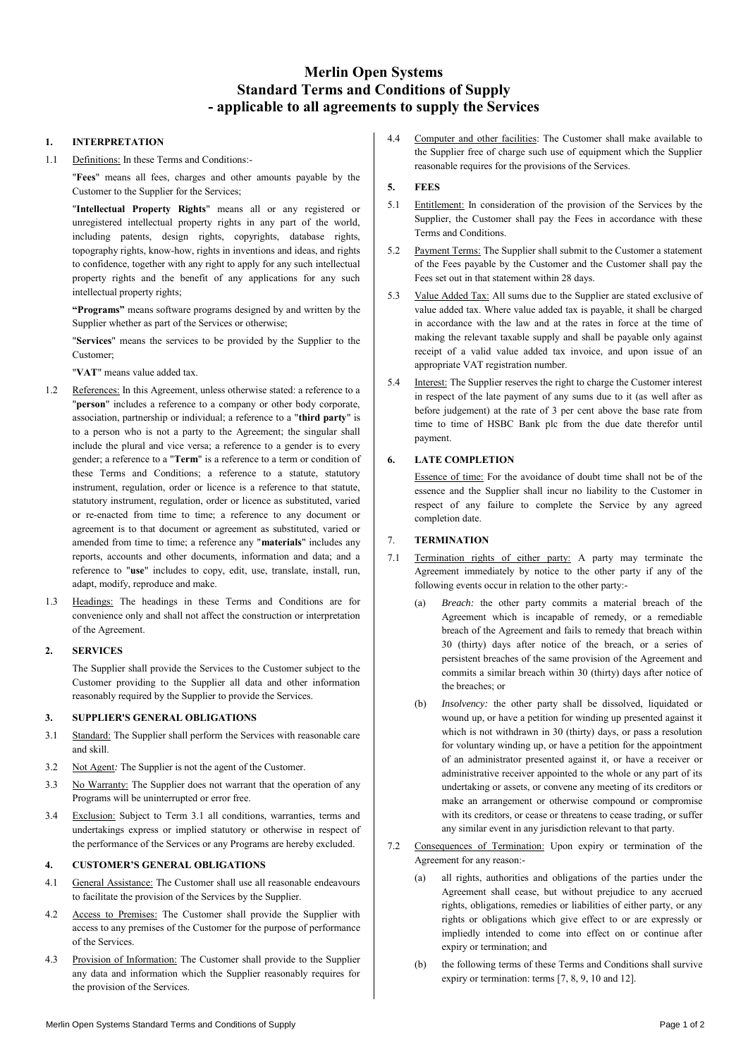# **Merlin Open Systems Standard Terms and Conditions of Supply - applicable to all agreements to supply the Services**

# **1. INTERPRETATION**

1.1 Definitions: In these Terms and Conditions:-

"**Fees**" means all fees, charges and other amounts payable by the Customer to the Supplier for the Services;

"**Intellectual Property Rights**" means all or any registered or unregistered intellectual property rights in any part of the world, including patents, design rights, copyrights, database rights, topography rights, know-how, rights in inventions and ideas, and rights to confidence, together with any right to apply for any such intellectual property rights and the benefit of any applications for any such intellectual property rights;

**"Programs"** means software programs designed by and written by the Supplier whether as part of the Services or otherwise;

"**Services**" means the services to be provided by the Supplier to the Customer;

"**VAT**" means value added tax.

- 1.2 References: In this Agreement, unless otherwise stated: a reference to a "**person**" includes a reference to a company or other body corporate, association, partnership or individual; a reference to a "**third party**" is to a person who is not a party to the Agreement; the singular shall include the plural and vice versa; a reference to a gender is to every gender; a reference to a "**Term**" is a reference to a term or condition of these Terms and Conditions; a reference to a statute, statutory instrument, regulation, order or licence is a reference to that statute, statutory instrument, regulation, order or licence as substituted, varied or re-enacted from time to time; a reference to any document or agreement is to that document or agreement as substituted, varied or amended from time to time; a reference any "**materials**" includes any reports, accounts and other documents, information and data; and a reference to "**use**" includes to copy, edit, use, translate, install, run, adapt, modify, reproduce and make.
- 1.3 Headings: The headings in these Terms and Conditions are for convenience only and shall not affect the construction or interpretation of the Agreement.

# **2. SERVICES**

The Supplier shall provide the Services to the Customer subject to the Customer providing to the Supplier all data and other information reasonably required by the Supplier to provide the Services.

# **3. SUPPLIER'S GENERAL OBLIGATIONS**

- 3.1 Standard: The Supplier shall perform the Services with reasonable care and skill.
- 3.2 Not Agent*:* The Supplier is not the agent of the Customer.
- 3.3 No Warranty: The Supplier does not warrant that the operation of any Programs will be uninterrupted or error free.
- 3.4 Exclusion: Subject to Term 3.1 all conditions, warranties, terms and undertakings express or implied statutory or otherwise in respect of the performance of the Services or any Programs are hereby excluded.

# **4. CUSTOMER'S GENERAL OBLIGATIONS**

- 4.1 General Assistance: The Customer shall use all reasonable endeavours to facilitate the provision of the Services by the Supplier.
- 4.2 Access to Premises: The Customer shall provide the Supplier with access to any premises of the Customer for the purpose of performance of the Services.
- 4.3 Provision of Information: The Customer shall provide to the Supplier any data and information which the Supplier reasonably requires for the provision of the Services.

4.4 Computer and other facilities: The Customer shall make available to the Supplier free of charge such use of equipment which the Supplier reasonable requires for the provisions of the Services.

# **5. FEES**

- 5.1 Entitlement: In consideration of the provision of the Services by the Supplier, the Customer shall pay the Fees in accordance with these Terms and Conditions.
- 5.2 Payment Terms: The Supplier shall submit to the Customer a statement of the Fees payable by the Customer and the Customer shall pay the Fees set out in that statement within 28 days.
- 5.3 Value Added Tax: All sums due to the Supplier are stated exclusive of value added tax. Where value added tax is payable, it shall be charged in accordance with the law and at the rates in force at the time of making the relevant taxable supply and shall be payable only against receipt of a valid value added tax invoice, and upon issue of an appropriate VAT registration number.
- 5.4 Interest: The Supplier reserves the right to charge the Customer interest in respect of the late payment of any sums due to it (as well after as before judgement) at the rate of 3 per cent above the base rate from time to time of HSBC Bank plc from the due date therefor until payment.

# **6. LATE COMPLETION**

Essence of time: For the avoidance of doubt time shall not be of the essence and the Supplier shall incur no liability to the Customer in respect of any failure to complete the Service by any agreed completion date.

# 7. **TERMINATION**

- 7.1 Termination rights of either party: A party may terminate the Agreement immediately by notice to the other party if any of the following events occur in relation to the other party:-
	- (a) *Breach:* the other party commits a material breach of the Agreement which is incapable of remedy, or a remediable breach of the Agreement and fails to remedy that breach within 30 (thirty) days after notice of the breach, or a series of persistent breaches of the same provision of the Agreement and commits a similar breach within 30 (thirty) days after notice of the breaches; or
	- (b) *Insolvency:* the other party shall be dissolved, liquidated or wound up, or have a petition for winding up presented against it which is not withdrawn in 30 (thirty) days, or pass a resolution for voluntary winding up, or have a petition for the appointment of an administrator presented against it, or have a receiver or administrative receiver appointed to the whole or any part of its undertaking or assets, or convene any meeting of its creditors or make an arrangement or otherwise compound or compromise with its creditors, or cease or threatens to cease trading, or suffer any similar event in any jurisdiction relevant to that party.
- 7.2 Consequences of Termination: Upon expiry or termination of the Agreement for any reason:-
	- (a) all rights, authorities and obligations of the parties under the Agreement shall cease, but without prejudice to any accrued rights, obligations, remedies or liabilities of either party, or any rights or obligations which give effect to or are expressly or impliedly intended to come into effect on or continue after expiry or termination; and
	- (b) the following terms of these Terms and Conditions shall survive expiry or termination: terms [7, 8, 9, 10 and 12].